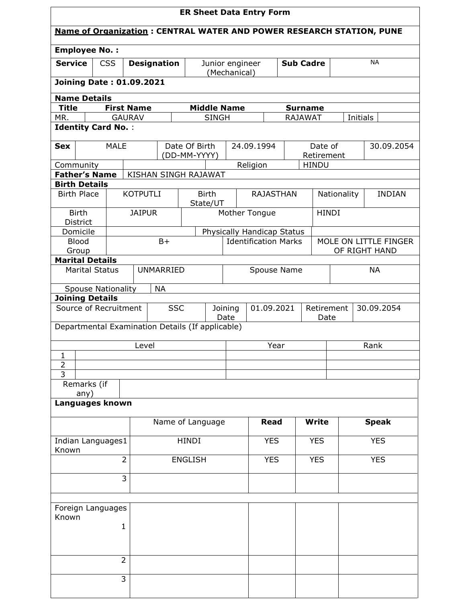| <b>ER Sheet Data Entry Form</b>                                                                      |                                           |                   |                                                  |                                 |                            |                             |                  |                            |             |                                                                             |
|------------------------------------------------------------------------------------------------------|-------------------------------------------|-------------------|--------------------------------------------------|---------------------------------|----------------------------|-----------------------------|------------------|----------------------------|-------------|-----------------------------------------------------------------------------|
|                                                                                                      |                                           |                   |                                                  |                                 |                            |                             |                  |                            |             | <b>Name of Organization: CENTRAL WATER AND POWER RESEARCH STATION, PUNE</b> |
| <b>Employee No.:</b>                                                                                 |                                           |                   |                                                  |                                 |                            |                             |                  |                            |             |                                                                             |
| <b>Service</b>                                                                                       | <b>CSS</b>                                |                   | <b>Designation</b>                               | Junior engineer<br>(Mechanical) |                            |                             | <b>Sub Cadre</b> |                            | <b>NA</b>   |                                                                             |
| <b>Joining Date: 01.09.2021</b>                                                                      |                                           |                   |                                                  |                                 |                            |                             |                  |                            |             |                                                                             |
| <b>Name Details</b>                                                                                  |                                           |                   |                                                  |                                 |                            |                             |                  |                            |             |                                                                             |
| <b>Title</b>                                                                                         |                                           | <b>First Name</b> |                                                  |                                 | <b>Middle Name</b>         |                             |                  | <b>Surname</b>             |             |                                                                             |
| MR.                                                                                                  |                                           | <b>GAURAV</b>     |                                                  |                                 | <b>SINGH</b>               |                             | <b>RAJAWAT</b>   |                            |             | Initials                                                                    |
|                                                                                                      | <b>Identity Card No.:</b>                 |                   |                                                  |                                 |                            |                             |                  |                            |             |                                                                             |
| <b>Sex</b>                                                                                           | <b>MALE</b>                               |                   |                                                  | Date Of Birth<br>24.09.1994     |                            |                             | Date of          |                            | 30.09.2054  |                                                                             |
|                                                                                                      |                                           |                   |                                                  | (DD-MM-YYYY)                    |                            |                             |                  | Retirement<br><b>HINDU</b> |             |                                                                             |
| Community<br><b>Father's Name</b>                                                                    |                                           |                   | KISHAN SINGH RAJAWAT                             |                                 |                            | Religion                    |                  |                            |             |                                                                             |
| <b>Birth Details</b>                                                                                 |                                           |                   |                                                  |                                 |                            |                             |                  |                            |             |                                                                             |
| <b>Birth Place</b>                                                                                   |                                           | <b>KOTPUTLI</b>   |                                                  | <b>Birth</b><br>State/UT        |                            | <b>RAJASTHAN</b>            |                  |                            | Nationality | <b>INDIAN</b>                                                               |
| <b>Birth</b><br>District                                                                             |                                           | <b>JAIPUR</b>     |                                                  |                                 |                            | Mother Tongue               |                  | <b>HINDI</b>               |             |                                                                             |
| Domicile                                                                                             |                                           |                   |                                                  |                                 | Physically Handicap Status |                             |                  |                            |             |                                                                             |
| <b>Blood</b>                                                                                         |                                           |                   | $B+$                                             |                                 |                            | <b>Identification Marks</b> |                  |                            |             | MOLE ON LITTLE FINGER                                                       |
| Group                                                                                                |                                           |                   |                                                  |                                 |                            |                             |                  |                            |             | OF RIGHT HAND                                                               |
| <b>Marital Details</b>                                                                               |                                           |                   |                                                  |                                 |                            |                             |                  |                            |             |                                                                             |
|                                                                                                      | <b>UNMARRIED</b><br><b>Marital Status</b> |                   |                                                  |                                 | Spouse Name                |                             |                  |                            | <b>NA</b>   |                                                                             |
|                                                                                                      | <b>Spouse Nationality</b>                 |                   | <b>NA</b>                                        |                                 |                            |                             |                  |                            |             |                                                                             |
| <b>Joining Details</b><br>Source of Recruitment<br><b>SSC</b><br>01.09.2021<br>Joining<br>Retirement |                                           |                   |                                                  |                                 |                            |                             | 30.09.2054       |                            |             |                                                                             |
|                                                                                                      |                                           |                   |                                                  |                                 | Date                       |                             |                  | Date                       |             |                                                                             |
|                                                                                                      |                                           |                   | Departmental Examination Details (If applicable) |                                 |                            |                             |                  |                            |             |                                                                             |
|                                                                                                      |                                           | Level             |                                                  |                                 |                            | Year                        |                  |                            |             | Rank                                                                        |
| 1                                                                                                    |                                           |                   |                                                  |                                 |                            |                             |                  |                            |             |                                                                             |
| $\overline{2}$                                                                                       |                                           |                   |                                                  |                                 |                            |                             |                  |                            |             |                                                                             |
| 3<br>Remarks (if                                                                                     |                                           |                   |                                                  |                                 |                            |                             |                  |                            |             |                                                                             |
| any)                                                                                                 |                                           |                   |                                                  |                                 |                            |                             |                  |                            |             |                                                                             |
| Languages known                                                                                      |                                           |                   |                                                  |                                 |                            |                             |                  |                            |             |                                                                             |
|                                                                                                      |                                           |                   | Name of Language                                 |                                 |                            | <b>Read</b>                 |                  | <b>Write</b>               |             | <b>Speak</b>                                                                |
| Indian Languages1<br>Known                                                                           |                                           |                   |                                                  | HINDI                           |                            | <b>YES</b>                  |                  | <b>YES</b>                 |             | <b>YES</b>                                                                  |
| $\overline{2}$                                                                                       |                                           | <b>ENGLISH</b>    |                                                  | <b>YES</b>                      |                            | <b>YES</b>                  |                  | <b>YES</b>                 |             |                                                                             |
|                                                                                                      |                                           | 3                 |                                                  |                                 |                            |                             |                  |                            |             |                                                                             |
|                                                                                                      |                                           |                   |                                                  |                                 |                            |                             |                  |                            |             |                                                                             |
| Foreign Languages                                                                                    |                                           |                   |                                                  |                                 |                            |                             |                  |                            |             |                                                                             |
| Known                                                                                                |                                           |                   |                                                  |                                 |                            |                             |                  |                            |             |                                                                             |
| $\mathbf{1}$                                                                                         |                                           |                   |                                                  |                                 |                            |                             |                  |                            |             |                                                                             |
|                                                                                                      |                                           |                   |                                                  |                                 |                            |                             |                  |                            |             |                                                                             |
|                                                                                                      | $\overline{2}$                            |                   |                                                  |                                 |                            |                             |                  |                            |             |                                                                             |
|                                                                                                      |                                           |                   |                                                  |                                 |                            |                             |                  |                            |             |                                                                             |
|                                                                                                      | $\overline{3}$                            |                   |                                                  |                                 |                            |                             |                  |                            |             |                                                                             |
|                                                                                                      |                                           |                   |                                                  |                                 |                            |                             |                  |                            |             |                                                                             |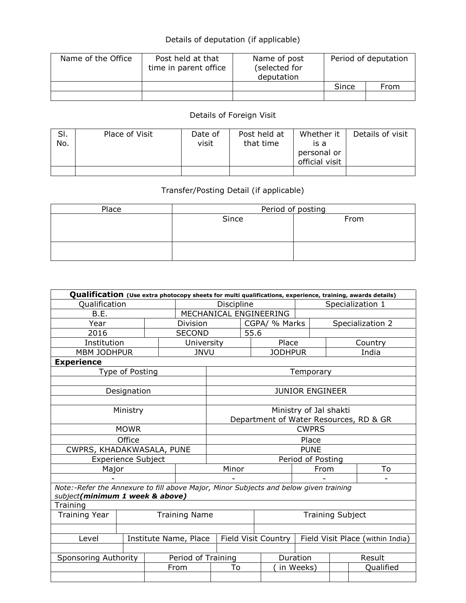## Details of deputation (if applicable)

| Name of the Office | Post held at that<br>time in parent office | Name of post<br>(selected for<br>deputation | Period of deputation |      |  |
|--------------------|--------------------------------------------|---------------------------------------------|----------------------|------|--|
|                    |                                            |                                             | Since                | From |  |
|                    |                                            |                                             |                      |      |  |

## Details of Foreign Visit

| SI.<br>No. | Place of Visit | Date of<br>visit | Post held at<br>that time | Whether it<br>is a<br>personal or<br>official visit | Details of visit |
|------------|----------------|------------------|---------------------------|-----------------------------------------------------|------------------|
|            |                |                  |                           |                                                     |                  |

## Transfer/Posting Detail (if applicable)

| Place | Period of posting |      |  |  |  |  |
|-------|-------------------|------|--|--|--|--|
|       | Since             | From |  |  |  |  |
|       |                   |      |  |  |  |  |
|       |                   |      |  |  |  |  |
|       |                   |      |  |  |  |  |
|       |                   |      |  |  |  |  |

| Qualification (Use extra photocopy sheets for multi qualifications, experience, training, awards details) |                           |                 |                      |                                        |      |                |                        |                                  |           |  |
|-----------------------------------------------------------------------------------------------------------|---------------------------|-----------------|----------------------|----------------------------------------|------|----------------|------------------------|----------------------------------|-----------|--|
| Qualification                                                                                             |                           |                 | Discipline           |                                        |      |                | Specialization 1       |                                  |           |  |
| B.E.                                                                                                      |                           |                 |                      | MECHANICAL ENGINEERING                 |      |                |                        |                                  |           |  |
| Year                                                                                                      |                           | <b>Division</b> |                      | CGPA/ % Marks                          |      |                |                        | Specialization 2                 |           |  |
| 2016                                                                                                      |                           |                 | <b>SECOND</b>        |                                        | 55.6 |                |                        |                                  |           |  |
| Institution                                                                                               |                           |                 | University           |                                        |      | Place          |                        |                                  | Country   |  |
| <b>MBM JODHPUR</b>                                                                                        |                           |                 | <b>JNVU</b>          |                                        |      | <b>JODHPUR</b> |                        |                                  | India     |  |
| <b>Experience</b>                                                                                         |                           |                 |                      |                                        |      |                |                        |                                  |           |  |
|                                                                                                           | Type of Posting           |                 |                      |                                        |      |                | Temporary              |                                  |           |  |
|                                                                                                           |                           |                 |                      |                                        |      |                |                        |                                  |           |  |
|                                                                                                           | Designation               |                 |                      |                                        |      |                | <b>JUNIOR ENGINEER</b> |                                  |           |  |
|                                                                                                           |                           |                 |                      |                                        |      |                |                        |                                  |           |  |
|                                                                                                           | Ministry                  |                 |                      |                                        |      |                | Ministry of Jal shakti |                                  |           |  |
|                                                                                                           |                           |                 |                      | Department of Water Resources, RD & GR |      |                |                        |                                  |           |  |
|                                                                                                           | <b>MOWR</b>               |                 |                      | <b>CWPRS</b>                           |      |                |                        |                                  |           |  |
|                                                                                                           | Office                    |                 |                      | Place                                  |      |                |                        |                                  |           |  |
| CWPRS, KHADAKWASALA, PUNE                                                                                 |                           |                 |                      |                                        |      |                | <b>PUNE</b>            |                                  |           |  |
|                                                                                                           | <b>Experience Subject</b> |                 |                      | Period of Posting                      |      |                |                        |                                  |           |  |
| Major                                                                                                     |                           |                 |                      | Minor                                  |      |                | From                   |                                  | To        |  |
|                                                                                                           |                           |                 |                      |                                        |      |                |                        |                                  |           |  |
| Note:-Refer the Annexure to fill above Major, Minor Subjects and below given training                     |                           |                 |                      |                                        |      |                |                        |                                  |           |  |
| subject(minimum 1 week & above)                                                                           |                           |                 |                      |                                        |      |                |                        |                                  |           |  |
| Training                                                                                                  |                           |                 |                      |                                        |      |                |                        |                                  |           |  |
| <b>Training Year</b>                                                                                      |                           |                 | <b>Training Name</b> | <b>Training Subject</b>                |      |                |                        |                                  |           |  |
|                                                                                                           |                           |                 |                      |                                        |      |                |                        |                                  |           |  |
| Level<br>Institute Name, Place                                                                            |                           |                 |                      | Field Visit Country                    |      |                |                        | Field Visit Place (within India) |           |  |
|                                                                                                           |                           |                 |                      |                                        |      |                |                        |                                  |           |  |
| Sponsoring Authority                                                                                      |                           |                 | Period of Training   |                                        |      |                | Duration               | Result                           |           |  |
|                                                                                                           |                           |                 | From                 | To                                     |      |                | in Weeks)              |                                  | Qualified |  |
|                                                                                                           |                           |                 |                      |                                        |      |                |                        |                                  |           |  |